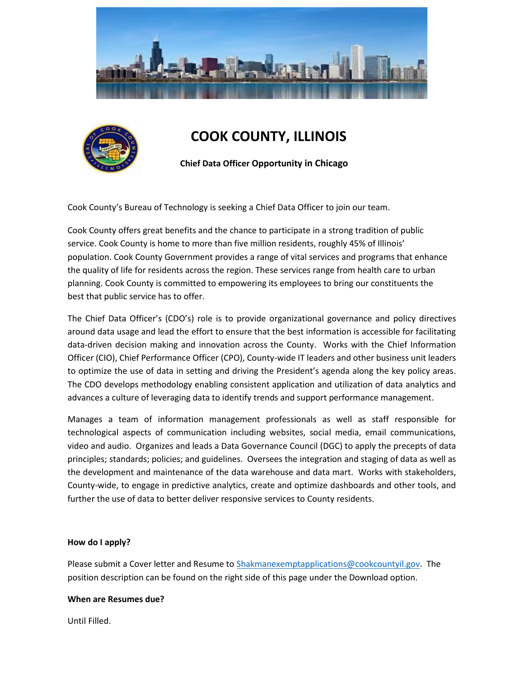



# **COOK COUNTY, ILLINOIS**

 **Chief Data Officer Opportunity in Chicago**

Cook County's Bureau of Technology is seeking a Chief Data Officer to join our team.

Cook County offers great benefits and the chance to participate in a strong tradition of public service. Cook County is home to more than five million residents, roughly 45% of Illinois' population. Cook County Government provides a range of vital services and programs that enhance the quality of life for residents across the region. These services range from health care to urban planning. Cook County is committed to empowering its employees to bring our constituents the best that public service has to offer.

The Chief Data Officer's (CDO's) role is to provide organizational governance and policy directives around data usage and lead the effort to ensure that the best information is accessible for facilitating data-driven decision making and innovation across the County. Works with the Chief Information Officer (CIO), Chief Performance Officer (CPO), County-wide IT leaders and other business unit leaders to optimize the use of data in setting and driving the President's agenda along the key policy areas. The CDO develops methodology enabling consistent application and utilization of data analytics and advances a culture of leveraging data to identify trends and support performance management.

Manages a team of information management professionals as well as staff responsible for technological aspects of communication including websites, social media, email communications, video and audio. Organizes and leads a Data Governance Council (DGC) to apply the precepts of data principles; standards; policies; and guidelines. Oversees the integration and staging of data as well as the development and maintenance of the data warehouse and data mart. Works with stakeholders, County-wide, to engage in predictive analytics, create and optimize dashboards and other tools, and further the use of data to better deliver responsive services to County residents.

## **How do I apply?**

Please submit a Cover letter and Resume to [Shakmanexemptapplications@cookcountyil.gov.](mailto:Shakmanexemptapplications@cookcountyil.gov) The position description can be found on the right side of this page under the Download option.

#### **When are Resumes due?**

Until Filled.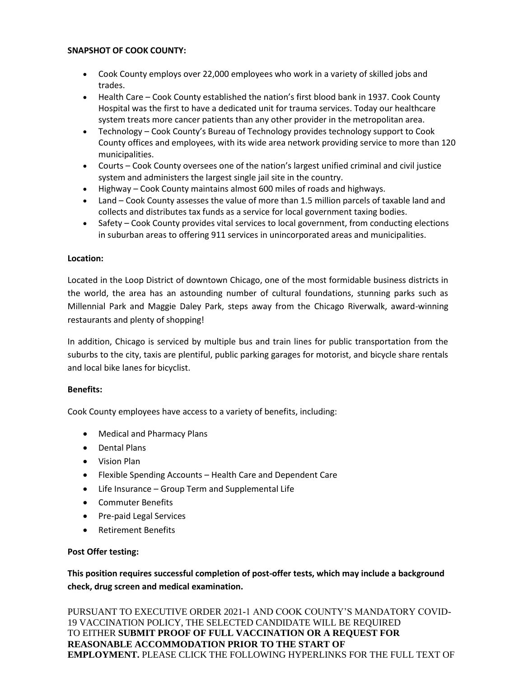## **SNAPSHOT OF COOK COUNTY:**

- Cook County employs over 22,000 employees who work in a variety of skilled jobs and trades.
- Health Care Cook County established the nation's first blood bank in 1937. Cook County Hospital was the first to have a dedicated unit for trauma services. Today our healthcare system treats more cancer patients than any other provider in the metropolitan area.
- Technology Cook County's Bureau of Technology provides technology support to Cook County offices and employees, with its wide area network providing service to more than 120 municipalities.
- Courts Cook County oversees one of the nation's largest unified criminal and civil justice system and administers the largest single jail site in the country.
- Highway Cook County maintains almost 600 miles of roads and highways.
- Land Cook County assesses the value of more than 1.5 million parcels of taxable land and collects and distributes tax funds as a service for local government taxing bodies.
- Safety Cook County provides vital services to local government, from conducting elections in suburban areas to offering 911 services in unincorporated areas and municipalities.

## **Location:**

Located in the Loop District of downtown Chicago, one of the most formidable business districts in the world, the area has an astounding number of cultural foundations, stunning parks such as Millennial Park and Maggie Daley Park, steps away from the Chicago Riverwalk, award-winning restaurants and plenty of shopping!

In addition, Chicago is serviced by multiple bus and train lines for public transportation from the suburbs to the city, taxis are plentiful, public parking garages for motorist, and bicycle share rentals and local bike lanes for bicyclist.

## **Benefits:**

Cook County employees have access to a variety of benefits, including:

- Medical and Pharmacy Plans
- Dental Plans
- Vision Plan
- Flexible Spending Accounts Health Care and Dependent Care
- Life Insurance Group Term and Supplemental Life
- Commuter Benefits
- Pre-paid Legal Services
- Retirement Benefits

# **Post Offer testing:**

**This position requires successful completion of post-offer tests, which may include a background check, drug screen and medical examination.**

PURSUANT TO EXECUTIVE ORDER 2021-1 AND COOK COUNTY'S MANDATORY COVID-19 VACCINATION POLICY, THE SELECTED CANDIDATE WILL BE REQUIRED TO EITHER **SUBMIT PROOF OF FULL VACCINATION OR A REQUEST FOR REASONABLE ACCOMMODATION PRIOR TO THE START OF EMPLOYMENT.** PLEASE CLICK THE FOLLOWING HYPERLINKS FOR THE FULL TEXT OF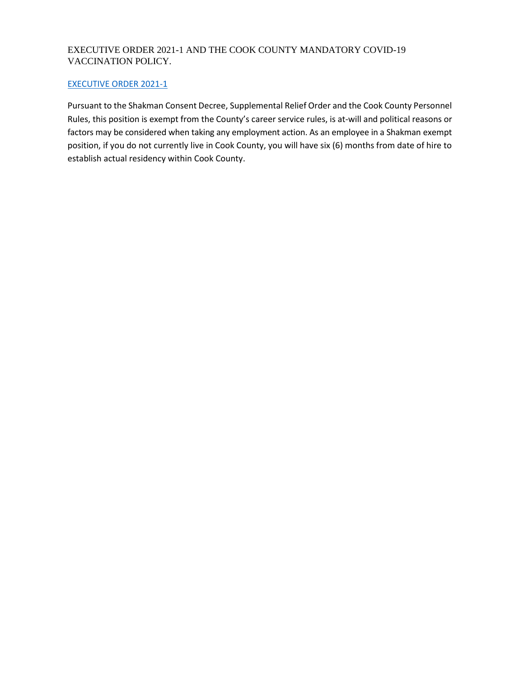# EXECUTIVE ORDER 2021-1 AND THE COOK COUNTY MANDATORY COVID-19 VACCINATION POLICY.

## [EXECUTIVE ORDER 2021-1](https://www.cookcountyil.gov/agency/office-president)

Pursuant to the Shakman Consent Decree, Supplemental Relief Order and the Cook County Personnel Rules, this position is exempt from the County's career service rules, is at-will and political reasons or factors may be considered when taking any employment action. As an employee in a Shakman exempt position, if you do not currently live in Cook County, you will have six (6) months from date of hire to establish actual residency within Cook County.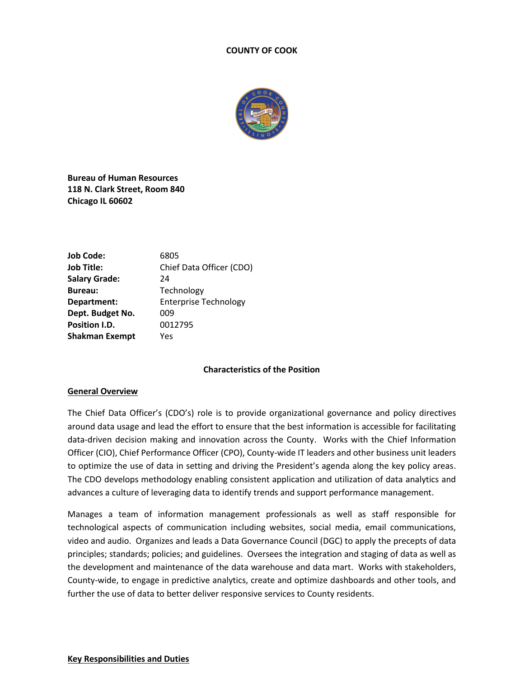#### **COUNTY OF COOK**



**Bureau of Human Resources 118 N. Clark Street, Room 840 Chicago IL 60602**

| <b>Job Code:</b>      | 6805                         |
|-----------------------|------------------------------|
| Job Title:            | Chief Data Officer (CDO)     |
| <b>Salary Grade:</b>  | 24                           |
| <b>Bureau:</b>        | Technology                   |
| Department:           | <b>Enterprise Technology</b> |
| Dept. Budget No.      | 009                          |
| <b>Position I.D.</b>  | 0012795                      |
| <b>Shakman Exempt</b> | Yes                          |
|                       |                              |

#### **Characteristics of the Position**

#### **General Overview**

The Chief Data Officer's (CDO's) role is to provide organizational governance and policy directives around data usage and lead the effort to ensure that the best information is accessible for facilitating data-driven decision making and innovation across the County. Works with the Chief Information Officer (CIO), Chief Performance Officer (CPO), County-wide IT leaders and other business unit leaders to optimize the use of data in setting and driving the President's agenda along the key policy areas. The CDO develops methodology enabling consistent application and utilization of data analytics and advances a culture of leveraging data to identify trends and support performance management.

Manages a team of information management professionals as well as staff responsible for technological aspects of communication including websites, social media, email communications, video and audio. Organizes and leads a Data Governance Council (DGC) to apply the precepts of data principles; standards; policies; and guidelines. Oversees the integration and staging of data as well as the development and maintenance of the data warehouse and data mart. Works with stakeholders, County-wide, to engage in predictive analytics, create and optimize dashboards and other tools, and further the use of data to better deliver responsive services to County residents.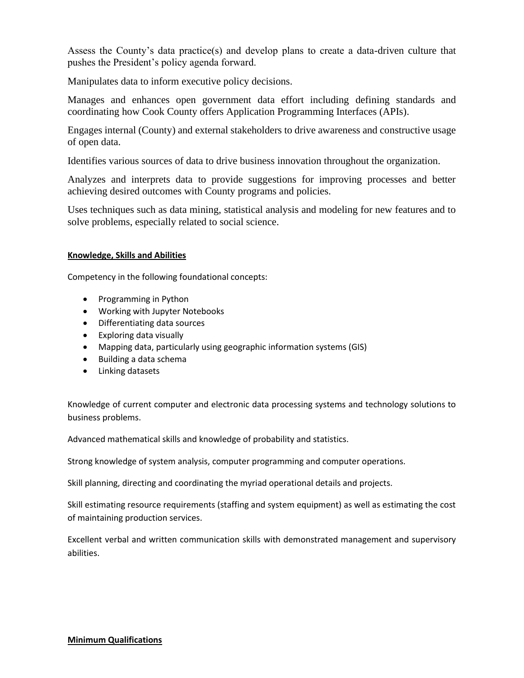Assess the County's data practice(s) and develop plans to create a data-driven culture that pushes the President's policy agenda forward.

Manipulates data to inform executive policy decisions.

Manages and enhances open government data effort including defining standards and coordinating how Cook County offers Application Programming Interfaces (APIs).

Engages internal (County) and external stakeholders to drive awareness and constructive usage of open data.

Identifies various sources of data to drive business innovation throughout the organization.

Analyzes and interprets data to provide suggestions for improving processes and better achieving desired outcomes with County programs and policies.

Uses techniques such as data mining, statistical analysis and modeling for new features and to solve problems, especially related to social science.

## **Knowledge, Skills and Abilities**

Competency in the following foundational concepts:

- Programming in Python
- Working with Jupyter Notebooks
- Differentiating data sources
- Exploring data visually
- Mapping data, particularly using geographic information systems (GIS)
- Building a data schema
- Linking datasets

Knowledge of current computer and electronic data processing systems and technology solutions to business problems.

Advanced mathematical skills and knowledge of probability and statistics.

Strong knowledge of system analysis, computer programming and computer operations.

Skill planning, directing and coordinating the myriad operational details and projects.

Skill estimating resource requirements (staffing and system equipment) as well as estimating the cost of maintaining production services.

Excellent verbal and written communication skills with demonstrated management and supervisory abilities.